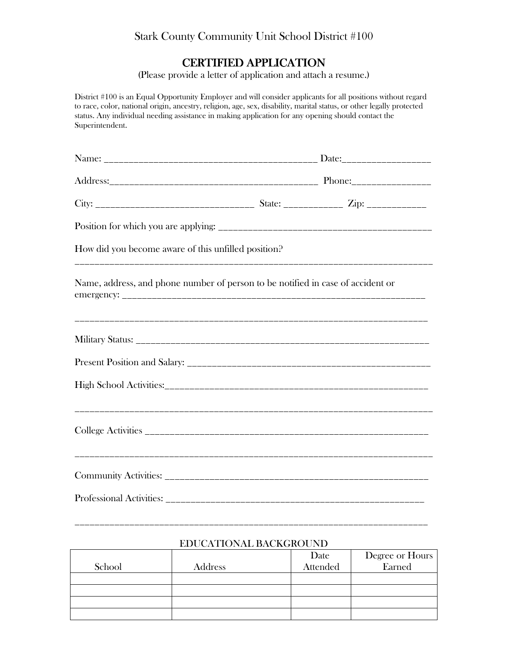## Stark County Community Unit School District #100

## CERTIFIED APPLICATION

(Please provide a letter of application and attach a resume.)

District #100 is an Equal Opportunity Employer and will consider applicants for all positions without regard to race, color, national origin, ancestry, religion, age, sex, disability, marital status, or other legally protected status. Any individual needing assistance in making application for any opening should contact the Superintendent.

| How did you become aware of this unfilled position?                             |  |  |  |
|---------------------------------------------------------------------------------|--|--|--|
| Name, address, and phone number of person to be notified in case of accident or |  |  |  |
|                                                                                 |  |  |  |
|                                                                                 |  |  |  |
|                                                                                 |  |  |  |
|                                                                                 |  |  |  |
|                                                                                 |  |  |  |
|                                                                                 |  |  |  |

## EDUCATIONAL BACKGROUND

\_\_\_\_\_\_\_\_\_\_\_\_\_\_\_\_\_\_\_\_\_\_\_\_\_\_\_\_\_\_\_\_\_\_\_\_\_\_\_\_\_\_\_\_\_\_\_\_\_\_\_\_\_\_\_\_\_\_\_\_\_\_\_\_\_\_\_\_\_\_\_

|        |         | Date            | Degree or Hours |
|--------|---------|-----------------|-----------------|
| School | Address | <b>Attended</b> | Earned          |
|        |         |                 |                 |
|        |         |                 |                 |
|        |         |                 |                 |
|        |         |                 |                 |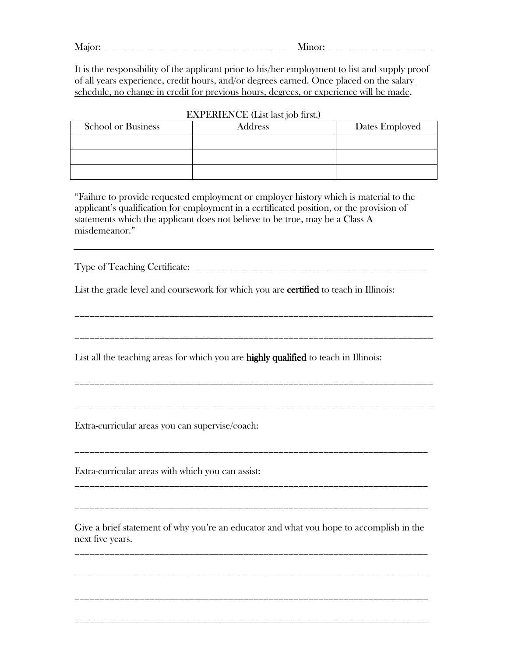Major: <u>and</u> Minor:

It is the responsibility of the applicant prior to his/her employment to list and supply proof of all years experience, credit hours, and/or degrees earned. Once placed on the salary schedule, no change in credit for previous hours, degrees, or experience will be made.

| <b>School or Business</b> | Address | Dates Employed |  |  |
|---------------------------|---------|----------------|--|--|
|                           |         |                |  |  |
|                           |         |                |  |  |
|                           |         |                |  |  |

EXPERIENCE (List last job first.)

"Failure to provide requested employment or employer history which is material to the applicant's qualification for employment in a certificated position, or the provision of statements which the applicant does not believe to be true, may be a Class A misdemeanor."

Type of Teaching Certificate: \_\_\_\_\_\_\_\_\_\_\_\_\_\_\_\_\_\_\_\_\_\_\_\_\_\_\_\_\_\_\_\_\_\_\_\_\_\_\_\_\_\_\_\_\_\_\_

List the grade level and coursework for which you are **certified** to teach in Illinois:

\_\_\_\_\_\_\_\_\_\_\_\_\_\_\_\_\_\_\_\_\_\_\_\_\_\_\_\_\_\_\_\_\_\_\_\_\_\_\_\_\_\_\_\_\_\_\_\_\_\_\_\_\_\_\_\_\_\_\_\_\_\_\_\_\_\_\_\_\_\_\_\_

\_\_\_\_\_\_\_\_\_\_\_\_\_\_\_\_\_\_\_\_\_\_\_\_\_\_\_\_\_\_\_\_\_\_\_\_\_\_\_\_\_\_\_\_\_\_\_\_\_\_\_\_\_\_\_\_\_\_\_\_\_\_\_\_\_\_\_\_\_\_\_\_

\_\_\_\_\_\_\_\_\_\_\_\_\_\_\_\_\_\_\_\_\_\_\_\_\_\_\_\_\_\_\_\_\_\_\_\_\_\_\_\_\_\_\_\_\_\_\_\_\_\_\_\_\_\_\_\_\_\_\_\_\_\_\_\_\_\_\_\_\_\_\_\_

\_\_\_\_\_\_\_\_\_\_\_\_\_\_\_\_\_\_\_\_\_\_\_\_\_\_\_\_\_\_\_\_\_\_\_\_\_\_\_\_\_\_\_\_\_\_\_\_\_\_\_\_\_\_\_\_\_\_\_\_\_\_\_\_\_\_\_\_\_\_\_\_

\_\_\_\_\_\_\_\_\_\_\_\_\_\_\_\_\_\_\_\_\_\_\_\_\_\_\_\_\_\_\_\_\_\_\_\_\_\_\_\_\_\_\_\_\_\_\_\_\_\_\_\_\_\_\_\_\_\_\_\_\_\_\_\_\_\_\_\_\_\_\_

\_\_\_\_\_\_\_\_\_\_\_\_\_\_\_\_\_\_\_\_\_\_\_\_\_\_\_\_\_\_\_\_\_\_\_\_\_\_\_\_\_\_\_\_\_\_\_\_\_\_\_\_\_\_\_\_\_\_\_\_\_\_\_\_\_\_\_\_\_\_\_

\_\_\_\_\_\_\_\_\_\_\_\_\_\_\_\_\_\_\_\_\_\_\_\_\_\_\_\_\_\_\_\_\_\_\_\_\_\_\_\_\_\_\_\_\_\_\_\_\_\_\_\_\_\_\_\_\_\_\_\_\_\_\_\_\_\_\_\_\_\_\_

List all the teaching areas for which you are **highly qualified** to teach in Illinois:

Extra-curricular areas you can supervise/coach:

Extra-curricular areas with which you can assist:

Give a brief statement of why you're an educator and what you hope to accomplish in the next five years.

\_\_\_\_\_\_\_\_\_\_\_\_\_\_\_\_\_\_\_\_\_\_\_\_\_\_\_\_\_\_\_\_\_\_\_\_\_\_\_\_\_\_\_\_\_\_\_\_\_\_\_\_\_\_\_\_\_\_\_\_\_\_\_\_\_\_\_\_\_\_\_

\_\_\_\_\_\_\_\_\_\_\_\_\_\_\_\_\_\_\_\_\_\_\_\_\_\_\_\_\_\_\_\_\_\_\_\_\_\_\_\_\_\_\_\_\_\_\_\_\_\_\_\_\_\_\_\_\_\_\_\_\_\_\_\_\_\_\_\_\_\_\_

\_\_\_\_\_\_\_\_\_\_\_\_\_\_\_\_\_\_\_\_\_\_\_\_\_\_\_\_\_\_\_\_\_\_\_\_\_\_\_\_\_\_\_\_\_\_\_\_\_\_\_\_\_\_\_\_\_\_\_\_\_\_\_\_\_\_\_\_\_\_\_

\_\_\_\_\_\_\_\_\_\_\_\_\_\_\_\_\_\_\_\_\_\_\_\_\_\_\_\_\_\_\_\_\_\_\_\_\_\_\_\_\_\_\_\_\_\_\_\_\_\_\_\_\_\_\_\_\_\_\_\_\_\_\_\_\_\_\_\_\_\_\_